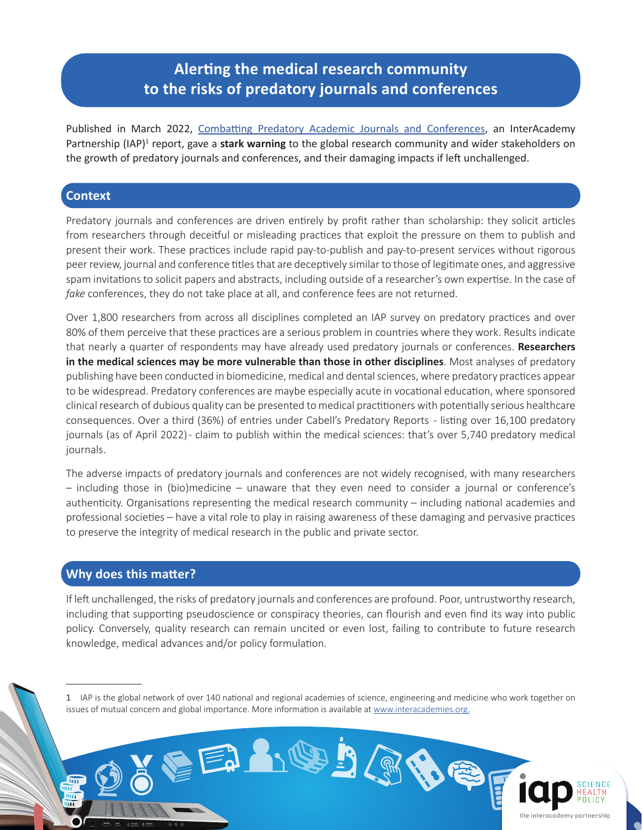## **Alerting the medical research community to the risks of predatory journals and conferences**

Published in March 2022, [Combatting Predatory Academic Journals and Conferences,](https://www.interacademies.org/project/predatorypublishing) an InterAcademy Partnership (IAP)<sup>1</sup> report, gave a stark warning to the global research community and wider stakeholders on the growth of predatory journals and conferences, and their damaging impacts if left unchallenged.

## **Context**

Predatory journals and conferences are driven entirely by profit rather than scholarship: they solicit articles from researchers through deceitful or misleading practices that exploit the pressure on them to publish and present their work. These practices include rapid pay-to-publish and pay-to-present services without rigorous peer review, journal and conference titles that are deceptively similar to those of legitimate ones, and aggressive spam invitations to solicit papers and abstracts, including outside of a researcher's own expertise. In the case of *fake* conferences, they do not take place at all, and conference fees are not returned.

Over 1,800 researchers from across all disciplines completed an IAP survey on predatory practices and over 80% of them perceive that these practices are a serious problem in countries where they work. Results indicate that nearly a quarter of respondents may have already used predatory journals or conferences. **Researchers in the medical sciences may be more vulnerable than those in other disciplines**. Most analyses of predatory publishing have been conducted in biomedicine, medical and dental sciences, where predatory practices appear to be widespread. Predatory conferences are maybe especially acute in vocational education, where sponsored clinical research of dubious quality can be presented to medical practitioners with potentially serious healthcare consequences. Over a third (36%) of entries under Cabell's Predatory Reports - listing over 16,100 predatory journals (as of April 2022) - claim to publish within the medical sciences: that's over 5,740 predatory medical journals.

The adverse impacts of predatory journals and conferences are not widely recognised, with many researchers – including those in (bio)medicine – unaware that they even need to consider a journal or conference's authenticity. Organisations representing the medical research community – including national academies and professional societies – have a vital role to play in raising awareness of these damaging and pervasive practices to preserve the integrity of medical research in the public and private sector.

## **Why does this matter?**

шī

If left unchallenged, the risks of predatory journals and conferences are profound. Poor, untrustworthy research, including that supporting pseudoscience or conspiracy theories, can flourish and even find its way into public policy. Conversely, quality research can remain uncited or even lost, failing to contribute to future research knowledge, medical advances and/or policy formulation.

1 IAP is the global network of over 140 national and regional academies of science, engineering and medicine who work together on issues of mutual concern and global importance. More information is available at [www.interacademies.org.](https://www.interacademies.org/)

 $\bullet\, \bullet\, \bullet\, \bullet$ 

EAM